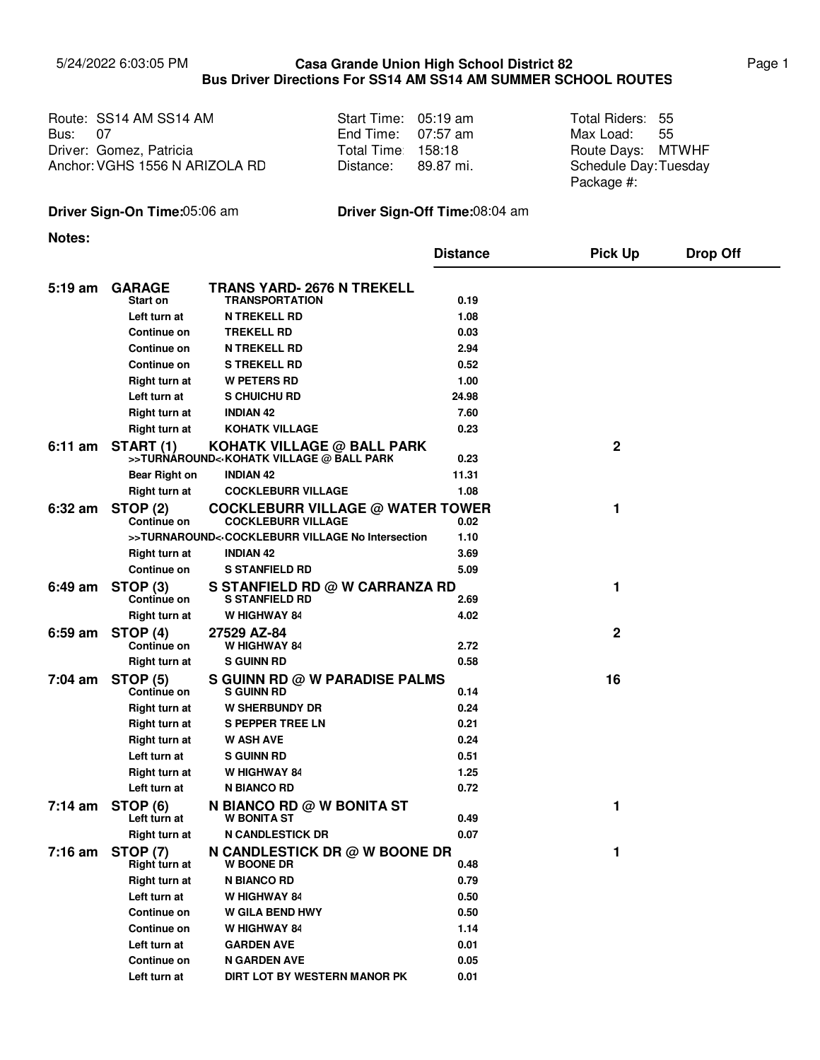## 5/24/2022 6:03:05 PM **Casa Grande Union High School District 82** Page 1 **Bus Driver Directions For SS14 AM SS14 AM SUMMER SCHOOL ROUTES Casa Grande Union High School District 82**

| Route: SS14 AM SS14 AM         | Start Time: 05:19 am | Total Riders: 55     |  |
|--------------------------------|----------------------|----------------------|--|
| <b>Bus: 07</b>                 | End Time: $07:57$ am | Max Load: 55         |  |
| Driver: Gomez, Patricia        | Total Time 158:18    | Route Days: MTWHF    |  |
| Anchor: VGHS 1556 N ARIZOLA RD | Distance: 89.87 mi.  | Schedule Day:Tuesday |  |
|                                |                      | Package #:           |  |

## **Driver Sign-On Time:**05:06 am **Driver Sign-Off Time:**08:04 am

**Notes:**

|                   |                                       |                                                                                                                | <b>Distance</b> | <b>Pick Up</b> | <b>Drop Off</b> |
|-------------------|---------------------------------------|----------------------------------------------------------------------------------------------------------------|-----------------|----------------|-----------------|
|                   |                                       | <b>TRANS YARD- 2676 N TREKELL</b>                                                                              |                 |                |                 |
| $5:19 \text{ am}$ | <b>GARAGE</b><br>Start on             | <b>TRANSPORTATION</b>                                                                                          | 0.19            |                |                 |
|                   | Left turn at                          | <b>N TREKELL RD</b>                                                                                            | 1.08            |                |                 |
|                   | Continue on                           | <b>TREKELL RD</b>                                                                                              | 0.03            |                |                 |
|                   | Continue on                           | <b>N TREKELL RD</b>                                                                                            | 2.94            |                |                 |
|                   | Continue on                           | <b>S TREKELL RD</b>                                                                                            | 0.52            |                |                 |
|                   | <b>Right turn at</b>                  | <b>W PETERS RD</b>                                                                                             | 1.00            |                |                 |
|                   | Left turn at                          | S CHUICHU RD                                                                                                   | 24.98           |                |                 |
|                   | <b>Right turn at</b>                  | <b>INDIAN 42</b>                                                                                               | 7.60            |                |                 |
|                   | Right turn at                         | KOHATK VILLAGE                                                                                                 | 0.23            |                |                 |
|                   | 6:11 am START (1)                     | <b>KOHATK VILLAGE @ BALL PARK</b><br>>>TURNAROUND<-KOHATK VILLAGE @ BALL PARK                                  | 0.23            | $\mathbf{2}$   |                 |
|                   | <b>Bear Right on</b>                  | <b>INDIAN 42</b>                                                                                               | 11.31           |                |                 |
|                   | Right turn at                         | <b>COCKLEBURR VILLAGE</b>                                                                                      | 1.08            |                |                 |
| $6:32$ am         | <b>STOP (2)</b><br>Continue on        | <b>COCKLEBURR VILLAGE @ WATER TOWER</b><br><b>COCKLEBURR VILLAGE</b>                                           | 0.02            | 1              |                 |
|                   |                                       | >>TURNAROUND< <cockleburr intersection<="" no="" td="" village=""><td>1.10</td><td></td><td></td></cockleburr> | 1.10            |                |                 |
|                   | <b>Right turn at</b>                  | <b>INDIAN 42</b>                                                                                               | 3.69            |                |                 |
|                   | Continue on                           | <b>S STANFIELD RD</b>                                                                                          | 5.09            |                |                 |
| $6:49 \text{ am}$ | STOP <sub>(3)</sub><br>Continue on    | S STANFIELD RD @ W CARRANZA RD<br><b>S STANFIELD RD</b>                                                        | 2.69            | 1              |                 |
|                   | Right turn at                         | <b>W HIGHWAY 84</b>                                                                                            | 4.02            |                |                 |
| $6:59$ am         | <b>STOP (4)</b><br><b>Continue on</b> | 27529 AZ-84<br>W HIGHWAY 84                                                                                    | 2.72            | $\mathbf 2$    |                 |
|                   | Right turn at                         | <b>S GUINN RD</b>                                                                                              | 0.58            |                |                 |
| $7:04$ am         | STOP (5)<br><b>Continue on</b>        | S GUINN RD @ W PARADISE PALMS<br><b>S GUINN RD</b>                                                             | 0.14            | 16             |                 |
|                   | <b>Right turn at</b>                  | <b>W SHERBUNDY DR</b>                                                                                          | 0.24            |                |                 |
|                   | <b>Right turn at</b>                  | <b>S PEPPER TREE LN</b>                                                                                        | 0.21            |                |                 |
|                   | Right turn at                         | <b>W ASH AVE</b>                                                                                               | 0.24            |                |                 |
|                   | Left turn at                          | <b>S GUINN RD</b>                                                                                              | 0.51            |                |                 |
|                   | Right turn at                         | W HIGHWAY 84                                                                                                   | 1.25            |                |                 |
|                   | Left turn at                          | N BIANCO RD                                                                                                    | 0.72            |                |                 |
| $7:14$ am         | STOP (6)<br>Left turn at              | <b>N BIANCO RD @ W BONITA ST</b><br><b>W BONITA ST</b>                                                         | 0.49            | 1              |                 |
|                   | Right turn at                         | <b>N CANDLESTICK DR</b>                                                                                        | 0.07            |                |                 |
|                   | 7:16 am STOP (7)<br>Right turn at     | N CANDLESTICK DR @ W BOONE DR<br><b>W BOONE DR</b>                                                             | 0.48            | 1              |                 |
|                   | Right turn at                         | <b>N BIANCO RD</b>                                                                                             | 0.79            |                |                 |
|                   | Left turn at                          | W HIGHWAY 84                                                                                                   | 0.50            |                |                 |
|                   | Continue on                           | <b>W GILA BEND HWY</b>                                                                                         | 0.50            |                |                 |
|                   | <b>Continue on</b>                    | W HIGHWAY 84                                                                                                   | 1.14            |                |                 |
|                   | Left turn at                          | <b>GARDEN AVE</b>                                                                                              | 0.01            |                |                 |
|                   | <b>Continue on</b>                    | <b>N GARDEN AVE</b>                                                                                            | 0.05            |                |                 |
|                   | Left turn at                          | DIRT LOT BY WESTERN MANOR PK                                                                                   | 0.01            |                |                 |